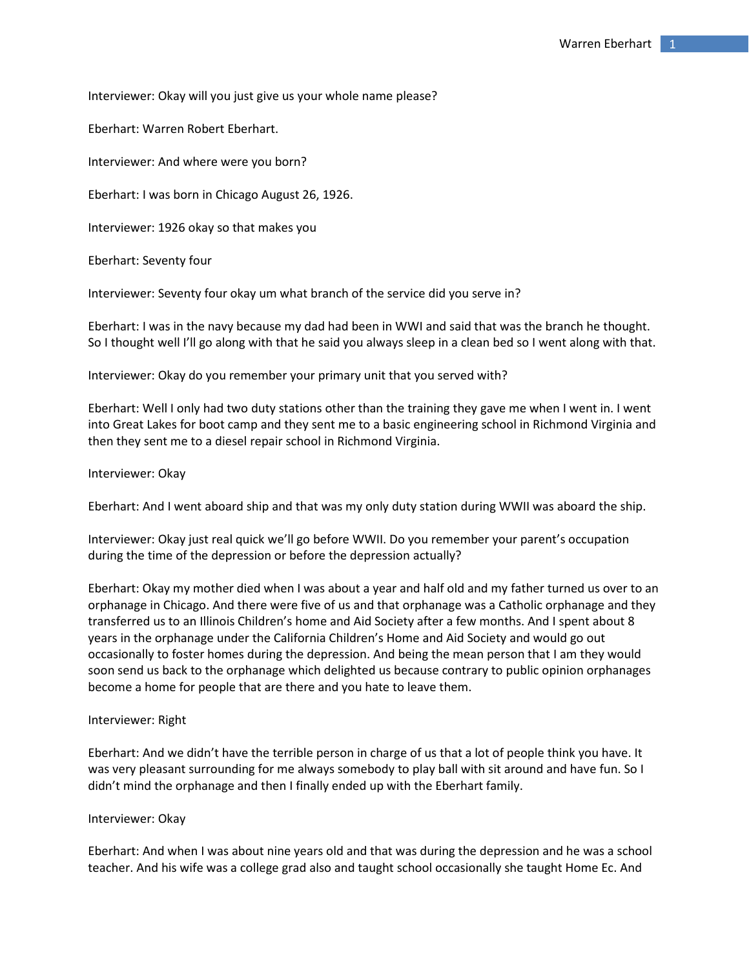Interviewer: Okay will you just give us your whole name please?

Eberhart: Warren Robert Eberhart.

Interviewer: And where were you born?

Eberhart: I was born in Chicago August 26, 1926.

Interviewer: 1926 okay so that makes you

Eberhart: Seventy four

Interviewer: Seventy four okay um what branch of the service did you serve in?

Eberhart: I was in the navy because my dad had been in WWI and said that was the branch he thought. So I thought well I'll go along with that he said you always sleep in a clean bed so I went along with that.

Interviewer: Okay do you remember your primary unit that you served with?

Eberhart: Well I only had two duty stations other than the training they gave me when I went in. I went into Great Lakes for boot camp and they sent me to a basic engineering school in Richmond Virginia and then they sent me to a diesel repair school in Richmond Virginia.

Interviewer: Okay

Eberhart: And I went aboard ship and that was my only duty station during WWII was aboard the ship.

Interviewer: Okay just real quick we'll go before WWII. Do you remember your parent's occupation during the time of the depression or before the depression actually?

Eberhart: Okay my mother died when I was about a year and half old and my father turned us over to an orphanage in Chicago. And there were five of us and that orphanage was a Catholic orphanage and they transferred us to an Illinois Children's home and Aid Society after a few months. And I spent about 8 years in the orphanage under the California Children's Home and Aid Society and would go out occasionally to foster homes during the depression. And being the mean person that I am they would soon send us back to the orphanage which delighted us because contrary to public opinion orphanages become a home for people that are there and you hate to leave them.

## Interviewer: Right

Eberhart: And we didn't have the terrible person in charge of us that a lot of people think you have. It was very pleasant surrounding for me always somebody to play ball with sit around and have fun. So I didn't mind the orphanage and then I finally ended up with the Eberhart family.

### Interviewer: Okay

Eberhart: And when I was about nine years old and that was during the depression and he was a school teacher. And his wife was a college grad also and taught school occasionally she taught Home Ec. And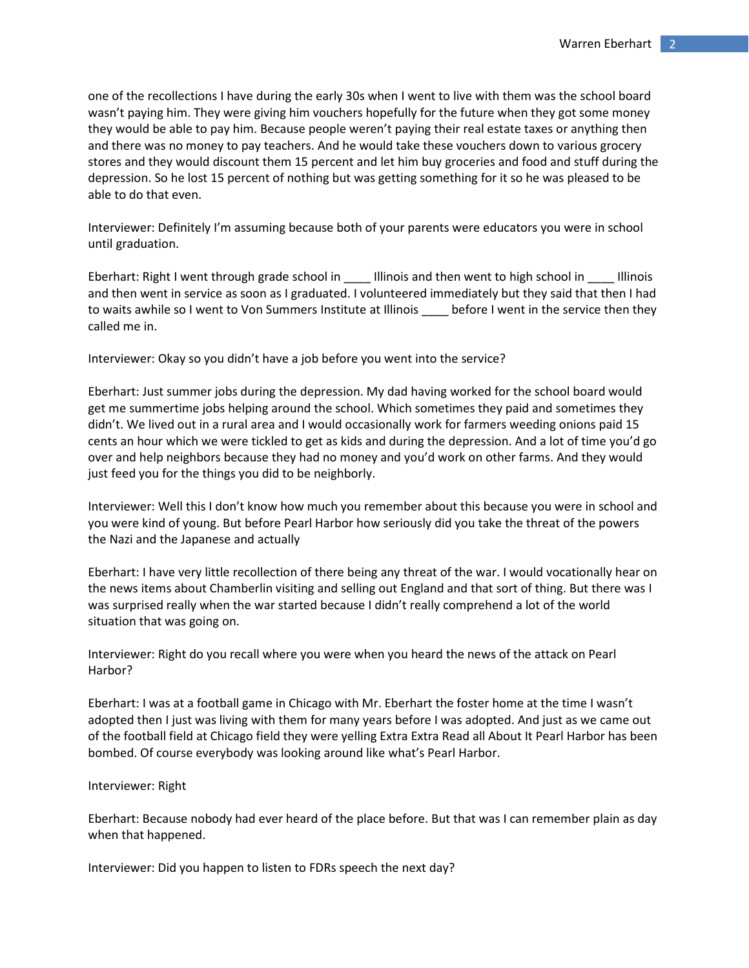one of the recollections I have during the early 30s when I went to live with them was the school board wasn't paying him. They were giving him vouchers hopefully for the future when they got some money they would be able to pay him. Because people weren't paying their real estate taxes or anything then and there was no money to pay teachers. And he would take these vouchers down to various grocery stores and they would discount them 15 percent and let him buy groceries and food and stuff during the depression. So he lost 15 percent of nothing but was getting something for it so he was pleased to be able to do that even.

Interviewer: Definitely I'm assuming because both of your parents were educators you were in school until graduation.

Eberhart: Right I went through grade school in \_\_\_\_ Illinois and then went to high school in \_\_\_\_ Illinois and then went in service as soon as I graduated. I volunteered immediately but they said that then I had to waits awhile so I went to Von Summers Institute at Illinois \_\_\_\_ before I went in the service then they called me in.

Interviewer: Okay so you didn't have a job before you went into the service?

Eberhart: Just summer jobs during the depression. My dad having worked for the school board would get me summertime jobs helping around the school. Which sometimes they paid and sometimes they didn't. We lived out in a rural area and I would occasionally work for farmers weeding onions paid 15 cents an hour which we were tickled to get as kids and during the depression. And a lot of time you'd go over and help neighbors because they had no money and you'd work on other farms. And they would just feed you for the things you did to be neighborly.

Interviewer: Well this I don't know how much you remember about this because you were in school and you were kind of young. But before Pearl Harbor how seriously did you take the threat of the powers the Nazi and the Japanese and actually

Eberhart: I have very little recollection of there being any threat of the war. I would vocationally hear on the news items about Chamberlin visiting and selling out England and that sort of thing. But there was I was surprised really when the war started because I didn't really comprehend a lot of the world situation that was going on.

Interviewer: Right do you recall where you were when you heard the news of the attack on Pearl Harbor?

Eberhart: I was at a football game in Chicago with Mr. Eberhart the foster home at the time I wasn't adopted then I just was living with them for many years before I was adopted. And just as we came out of the football field at Chicago field they were yelling Extra Extra Read all About It Pearl Harbor has been bombed. Of course everybody was looking around like what's Pearl Harbor.

## Interviewer: Right

Eberhart: Because nobody had ever heard of the place before. But that was I can remember plain as day when that happened.

Interviewer: Did you happen to listen to FDRs speech the next day?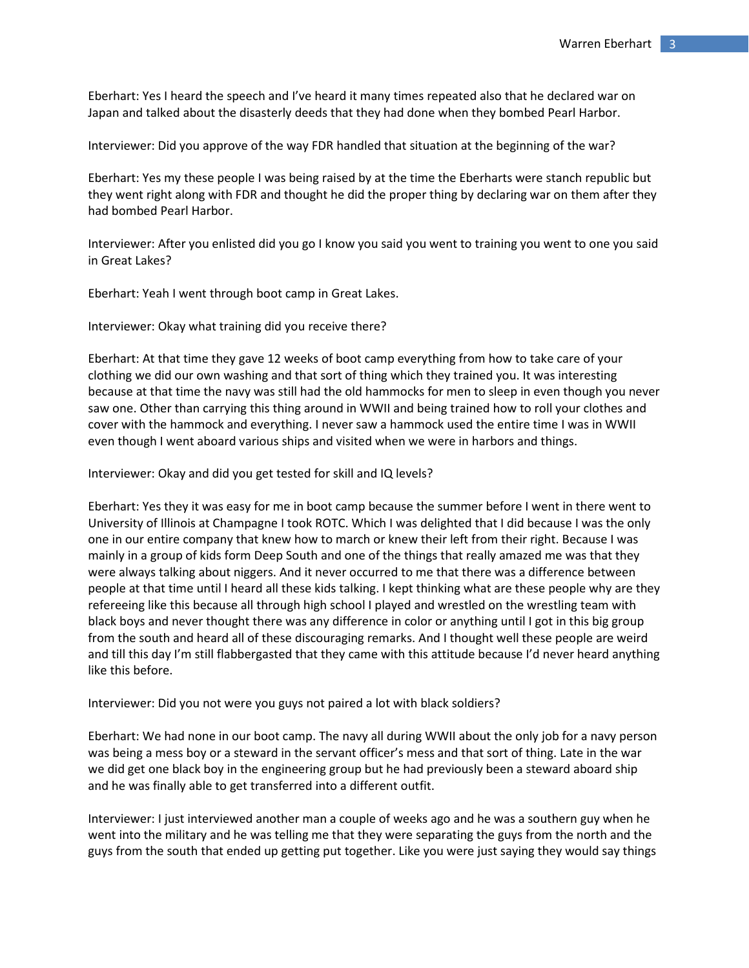Eberhart: Yes I heard the speech and I've heard it many times repeated also that he declared war on Japan and talked about the disasterly deeds that they had done when they bombed Pearl Harbor.

Interviewer: Did you approve of the way FDR handled that situation at the beginning of the war?

Eberhart: Yes my these people I was being raised by at the time the Eberharts were stanch republic but they went right along with FDR and thought he did the proper thing by declaring war on them after they had bombed Pearl Harbor.

Interviewer: After you enlisted did you go I know you said you went to training you went to one you said in Great Lakes?

Eberhart: Yeah I went through boot camp in Great Lakes.

Interviewer: Okay what training did you receive there?

Eberhart: At that time they gave 12 weeks of boot camp everything from how to take care of your clothing we did our own washing and that sort of thing which they trained you. It was interesting because at that time the navy was still had the old hammocks for men to sleep in even though you never saw one. Other than carrying this thing around in WWII and being trained how to roll your clothes and cover with the hammock and everything. I never saw a hammock used the entire time I was in WWII even though I went aboard various ships and visited when we were in harbors and things.

Interviewer: Okay and did you get tested for skill and IQ levels?

Eberhart: Yes they it was easy for me in boot camp because the summer before I went in there went to University of Illinois at Champagne I took ROTC. Which I was delighted that I did because I was the only one in our entire company that knew how to march or knew their left from their right. Because I was mainly in a group of kids form Deep South and one of the things that really amazed me was that they were always talking about niggers. And it never occurred to me that there was a difference between people at that time until I heard all these kids talking. I kept thinking what are these people why are they refereeing like this because all through high school I played and wrestled on the wrestling team with black boys and never thought there was any difference in color or anything until I got in this big group from the south and heard all of these discouraging remarks. And I thought well these people are weird and till this day I'm still flabbergasted that they came with this attitude because I'd never heard anything like this before.

Interviewer: Did you not were you guys not paired a lot with black soldiers?

Eberhart: We had none in our boot camp. The navy all during WWII about the only job for a navy person was being a mess boy or a steward in the servant officer's mess and that sort of thing. Late in the war we did get one black boy in the engineering group but he had previously been a steward aboard ship and he was finally able to get transferred into a different outfit.

Interviewer: I just interviewed another man a couple of weeks ago and he was a southern guy when he went into the military and he was telling me that they were separating the guys from the north and the guys from the south that ended up getting put together. Like you were just saying they would say things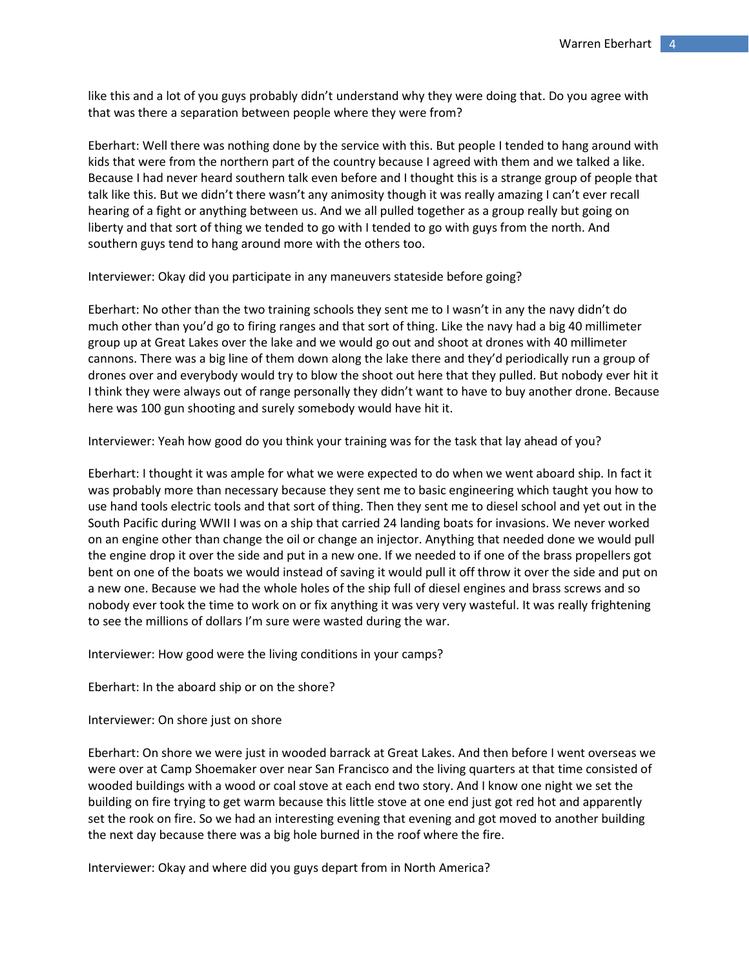like this and a lot of you guys probably didn't understand why they were doing that. Do you agree with that was there a separation between people where they were from?

Eberhart: Well there was nothing done by the service with this. But people I tended to hang around with kids that were from the northern part of the country because I agreed with them and we talked a like. Because I had never heard southern talk even before and I thought this is a strange group of people that talk like this. But we didn't there wasn't any animosity though it was really amazing I can't ever recall hearing of a fight or anything between us. And we all pulled together as a group really but going on liberty and that sort of thing we tended to go with I tended to go with guys from the north. And southern guys tend to hang around more with the others too.

Interviewer: Okay did you participate in any maneuvers stateside before going?

Eberhart: No other than the two training schools they sent me to I wasn't in any the navy didn't do much other than you'd go to firing ranges and that sort of thing. Like the navy had a big 40 millimeter group up at Great Lakes over the lake and we would go out and shoot at drones with 40 millimeter cannons. There was a big line of them down along the lake there and they'd periodically run a group of drones over and everybody would try to blow the shoot out here that they pulled. But nobody ever hit it I think they were always out of range personally they didn't want to have to buy another drone. Because here was 100 gun shooting and surely somebody would have hit it.

Interviewer: Yeah how good do you think your training was for the task that lay ahead of you?

Eberhart: I thought it was ample for what we were expected to do when we went aboard ship. In fact it was probably more than necessary because they sent me to basic engineering which taught you how to use hand tools electric tools and that sort of thing. Then they sent me to diesel school and yet out in the South Pacific during WWII I was on a ship that carried 24 landing boats for invasions. We never worked on an engine other than change the oil or change an injector. Anything that needed done we would pull the engine drop it over the side and put in a new one. If we needed to if one of the brass propellers got bent on one of the boats we would instead of saving it would pull it off throw it over the side and put on a new one. Because we had the whole holes of the ship full of diesel engines and brass screws and so nobody ever took the time to work on or fix anything it was very very wasteful. It was really frightening to see the millions of dollars I'm sure were wasted during the war.

Interviewer: How good were the living conditions in your camps?

Eberhart: In the aboard ship or on the shore?

Interviewer: On shore just on shore

Eberhart: On shore we were just in wooded barrack at Great Lakes. And then before I went overseas we were over at Camp Shoemaker over near San Francisco and the living quarters at that time consisted of wooded buildings with a wood or coal stove at each end two story. And I know one night we set the building on fire trying to get warm because this little stove at one end just got red hot and apparently set the rook on fire. So we had an interesting evening that evening and got moved to another building the next day because there was a big hole burned in the roof where the fire.

Interviewer: Okay and where did you guys depart from in North America?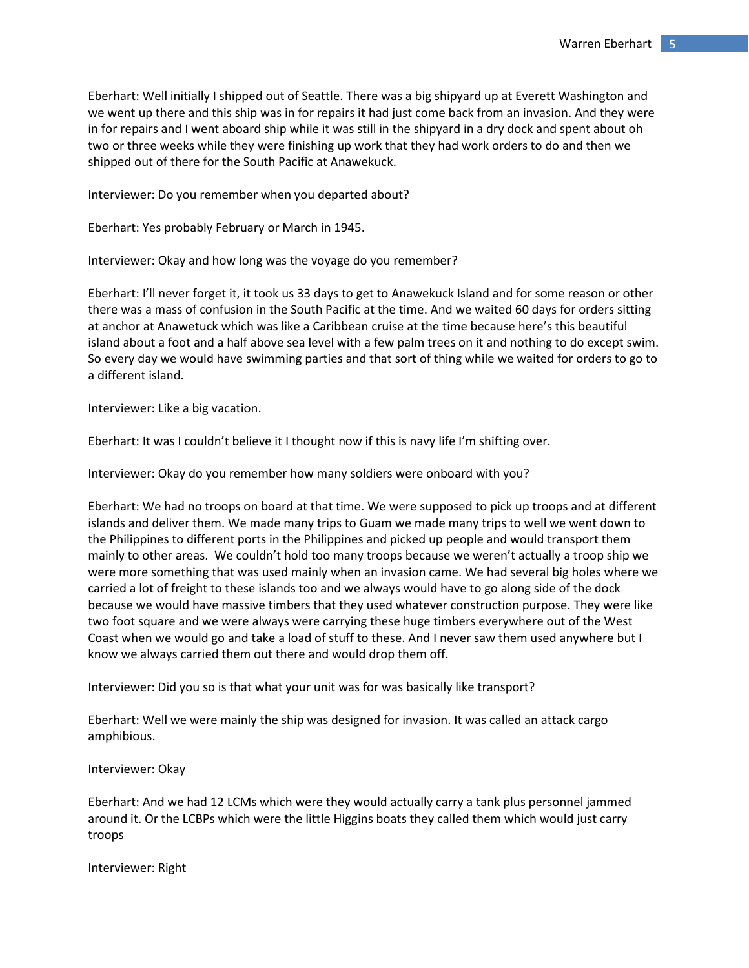Eberhart: Well initially I shipped out of Seattle. There was a big shipyard up at Everett Washington and we went up there and this ship was in for repairs it had just come back from an invasion. And they were in for repairs and I went aboard ship while it was still in the shipyard in a dry dock and spent about oh two or three weeks while they were finishing up work that they had work orders to do and then we shipped out of there for the South Pacific at Anawekuck.

Interviewer: Do you remember when you departed about?

Eberhart: Yes probably February or March in 1945.

Interviewer: Okay and how long was the voyage do you remember?

Eberhart: I'll never forget it, it took us 33 days to get to Anawekuck Island and for some reason or other there was a mass of confusion in the South Pacific at the time. And we waited 60 days for orders sitting at anchor at Anawetuck which was like a Caribbean cruise at the time because here's this beautiful island about a foot and a half above sea level with a few palm trees on it and nothing to do except swim. So every day we would have swimming parties and that sort of thing while we waited for orders to go to a different island.

Interviewer: Like a big vacation.

Eberhart: It was I couldn't believe it I thought now if this is navy life I'm shifting over.

Interviewer: Okay do you remember how many soldiers were onboard with you?

Eberhart: We had no troops on board at that time. We were supposed to pick up troops and at different islands and deliver them. We made many trips to Guam we made many trips to well we went down to the Philippines to different ports in the Philippines and picked up people and would transport them mainly to other areas. We couldn't hold too many troops because we weren't actually a troop ship we were more something that was used mainly when an invasion came. We had several big holes where we carried a lot of freight to these islands too and we always would have to go along side of the dock because we would have massive timbers that they used whatever construction purpose. They were like two foot square and we were always were carrying these huge timbers everywhere out of the West Coast when we would go and take a load of stuff to these. And I never saw them used anywhere but I know we always carried them out there and would drop them off.

Interviewer: Did you so is that what your unit was for was basically like transport?

Eberhart: Well we were mainly the ship was designed for invasion. It was called an attack cargo amphibious.

Interviewer: Okay

Eberhart: And we had 12 LCMs which were they would actually carry a tank plus personnel jammed around it. Or the LCBPs which were the little Higgins boats they called them which would just carry troops

Interviewer: Right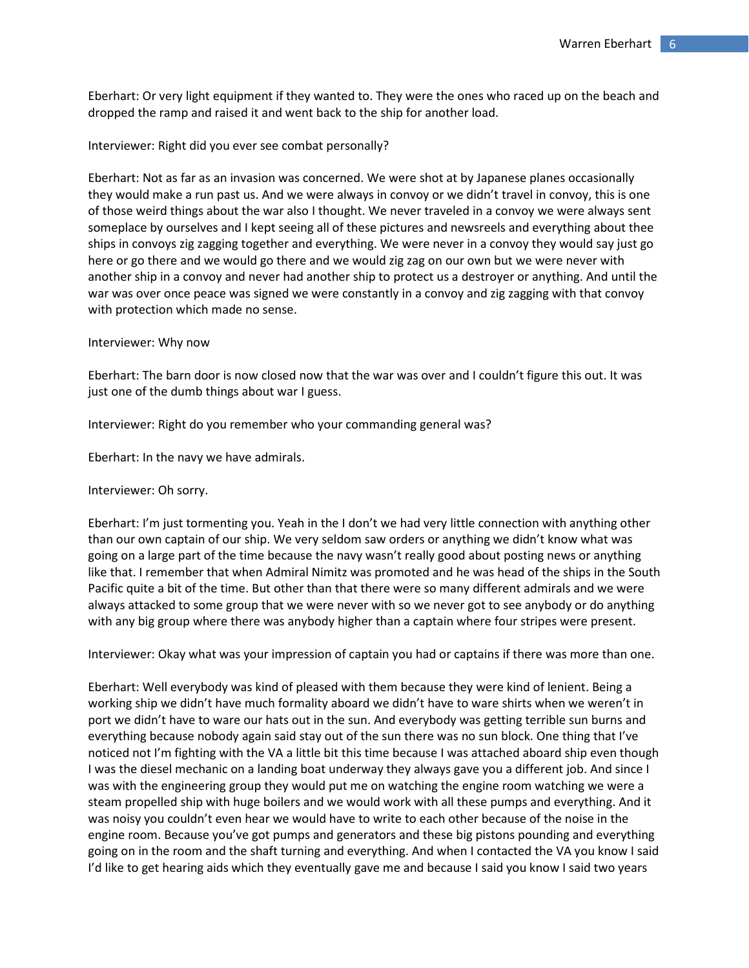Eberhart: Or very light equipment if they wanted to. They were the ones who raced up on the beach and dropped the ramp and raised it and went back to the ship for another load.

## Interviewer: Right did you ever see combat personally?

Eberhart: Not as far as an invasion was concerned. We were shot at by Japanese planes occasionally they would make a run past us. And we were always in convoy or we didn't travel in convoy, this is one of those weird things about the war also I thought. We never traveled in a convoy we were always sent someplace by ourselves and I kept seeing all of these pictures and newsreels and everything about thee ships in convoys zig zagging together and everything. We were never in a convoy they would say just go here or go there and we would go there and we would zig zag on our own but we were never with another ship in a convoy and never had another ship to protect us a destroyer or anything. And until the war was over once peace was signed we were constantly in a convoy and zig zagging with that convoy with protection which made no sense.

### Interviewer: Why now

Eberhart: The barn door is now closed now that the war was over and I couldn't figure this out. It was just one of the dumb things about war I guess.

Interviewer: Right do you remember who your commanding general was?

Eberhart: In the navy we have admirals.

### Interviewer: Oh sorry.

Eberhart: I'm just tormenting you. Yeah in the I don't we had very little connection with anything other than our own captain of our ship. We very seldom saw orders or anything we didn't know what was going on a large part of the time because the navy wasn't really good about posting news or anything like that. I remember that when Admiral Nimitz was promoted and he was head of the ships in the South Pacific quite a bit of the time. But other than that there were so many different admirals and we were always attacked to some group that we were never with so we never got to see anybody or do anything with any big group where there was anybody higher than a captain where four stripes were present.

Interviewer: Okay what was your impression of captain you had or captains if there was more than one.

Eberhart: Well everybody was kind of pleased with them because they were kind of lenient. Being a working ship we didn't have much formality aboard we didn't have to ware shirts when we weren't in port we didn't have to ware our hats out in the sun. And everybody was getting terrible sun burns and everything because nobody again said stay out of the sun there was no sun block. One thing that I've noticed not I'm fighting with the VA a little bit this time because I was attached aboard ship even though I was the diesel mechanic on a landing boat underway they always gave you a different job. And since I was with the engineering group they would put me on watching the engine room watching we were a steam propelled ship with huge boilers and we would work with all these pumps and everything. And it was noisy you couldn't even hear we would have to write to each other because of the noise in the engine room. Because you've got pumps and generators and these big pistons pounding and everything going on in the room and the shaft turning and everything. And when I contacted the VA you know I said I'd like to get hearing aids which they eventually gave me and because I said you know I said two years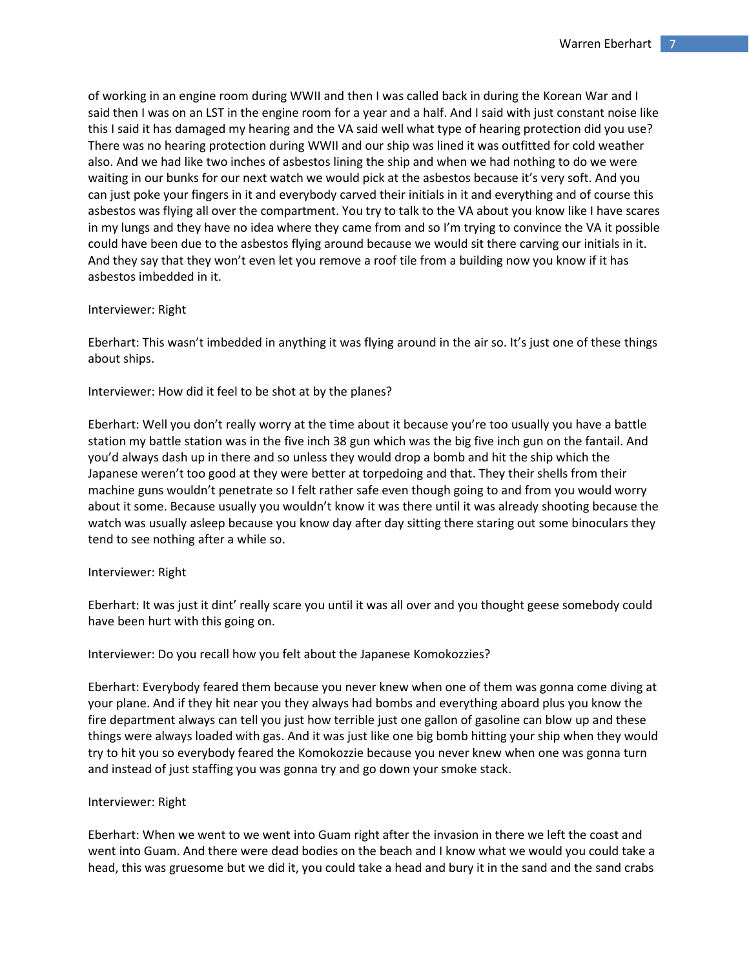of working in an engine room during WWII and then I was called back in during the Korean War and I said then I was on an LST in the engine room for a year and a half. And I said with just constant noise like this I said it has damaged my hearing and the VA said well what type of hearing protection did you use? There was no hearing protection during WWII and our ship was lined it was outfitted for cold weather also. And we had like two inches of asbestos lining the ship and when we had nothing to do we were waiting in our bunks for our next watch we would pick at the asbestos because it's very soft. And you can just poke your fingers in it and everybody carved their initials in it and everything and of course this asbestos was flying all over the compartment. You try to talk to the VA about you know like I have scares in my lungs and they have no idea where they came from and so I'm trying to convince the VA it possible could have been due to the asbestos flying around because we would sit there carving our initials in it. And they say that they won't even let you remove a roof tile from a building now you know if it has asbestos imbedded in it.

## Interviewer: Right

Eberhart: This wasn't imbedded in anything it was flying around in the air so. It's just one of these things about ships.

Interviewer: How did it feel to be shot at by the planes?

Eberhart: Well you don't really worry at the time about it because you're too usually you have a battle station my battle station was in the five inch 38 gun which was the big five inch gun on the fantail. And you'd always dash up in there and so unless they would drop a bomb and hit the ship which the Japanese weren't too good at they were better at torpedoing and that. They their shells from their machine guns wouldn't penetrate so I felt rather safe even though going to and from you would worry about it some. Because usually you wouldn't know it was there until it was already shooting because the watch was usually asleep because you know day after day sitting there staring out some binoculars they tend to see nothing after a while so.

# Interviewer: Right

Eberhart: It was just it dint' really scare you until it was all over and you thought geese somebody could have been hurt with this going on.

# Interviewer: Do you recall how you felt about the Japanese Komokozzies?

Eberhart: Everybody feared them because you never knew when one of them was gonna come diving at your plane. And if they hit near you they always had bombs and everything aboard plus you know the fire department always can tell you just how terrible just one gallon of gasoline can blow up and these things were always loaded with gas. And it was just like one big bomb hitting your ship when they would try to hit you so everybody feared the Komokozzie because you never knew when one was gonna turn and instead of just staffing you was gonna try and go down your smoke stack.

## Interviewer: Right

Eberhart: When we went to we went into Guam right after the invasion in there we left the coast and went into Guam. And there were dead bodies on the beach and I know what we would you could take a head, this was gruesome but we did it, you could take a head and bury it in the sand and the sand crabs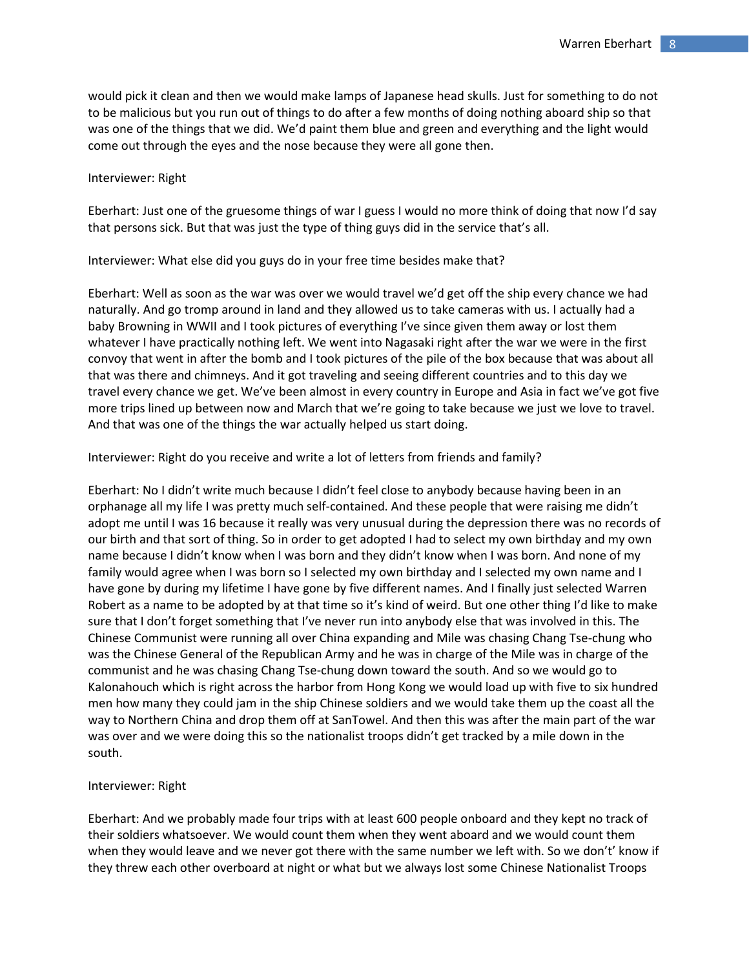would pick it clean and then we would make lamps of Japanese head skulls. Just for something to do not to be malicious but you run out of things to do after a few months of doing nothing aboard ship so that was one of the things that we did. We'd paint them blue and green and everything and the light would come out through the eyes and the nose because they were all gone then.

### Interviewer: Right

Eberhart: Just one of the gruesome things of war I guess I would no more think of doing that now I'd say that persons sick. But that was just the type of thing guys did in the service that's all.

Interviewer: What else did you guys do in your free time besides make that?

Eberhart: Well as soon as the war was over we would travel we'd get off the ship every chance we had naturally. And go tromp around in land and they allowed us to take cameras with us. I actually had a baby Browning in WWII and I took pictures of everything I've since given them away or lost them whatever I have practically nothing left. We went into Nagasaki right after the war we were in the first convoy that went in after the bomb and I took pictures of the pile of the box because that was about all that was there and chimneys. And it got traveling and seeing different countries and to this day we travel every chance we get. We've been almost in every country in Europe and Asia in fact we've got five more trips lined up between now and March that we're going to take because we just we love to travel. And that was one of the things the war actually helped us start doing.

Interviewer: Right do you receive and write a lot of letters from friends and family?

Eberhart: No I didn't write much because I didn't feel close to anybody because having been in an orphanage all my life I was pretty much self-contained. And these people that were raising me didn't adopt me until I was 16 because it really was very unusual during the depression there was no records of our birth and that sort of thing. So in order to get adopted I had to select my own birthday and my own name because I didn't know when I was born and they didn't know when I was born. And none of my family would agree when I was born so I selected my own birthday and I selected my own name and I have gone by during my lifetime I have gone by five different names. And I finally just selected Warren Robert as a name to be adopted by at that time so it's kind of weird. But one other thing I'd like to make sure that I don't forget something that I've never run into anybody else that was involved in this. The Chinese Communist were running all over China expanding and Mile was chasing Chang Tse-chung who was the Chinese General of the Republican Army and he was in charge of the Mile was in charge of the communist and he was chasing Chang Tse-chung down toward the south. And so we would go to Kalonahouch which is right across the harbor from Hong Kong we would load up with five to six hundred men how many they could jam in the ship Chinese soldiers and we would take them up the coast all the way to Northern China and drop them off at SanTowel. And then this was after the main part of the war was over and we were doing this so the nationalist troops didn't get tracked by a mile down in the south.

### Interviewer: Right

Eberhart: And we probably made four trips with at least 600 people onboard and they kept no track of their soldiers whatsoever. We would count them when they went aboard and we would count them when they would leave and we never got there with the same number we left with. So we don't' know if they threw each other overboard at night or what but we always lost some Chinese Nationalist Troops